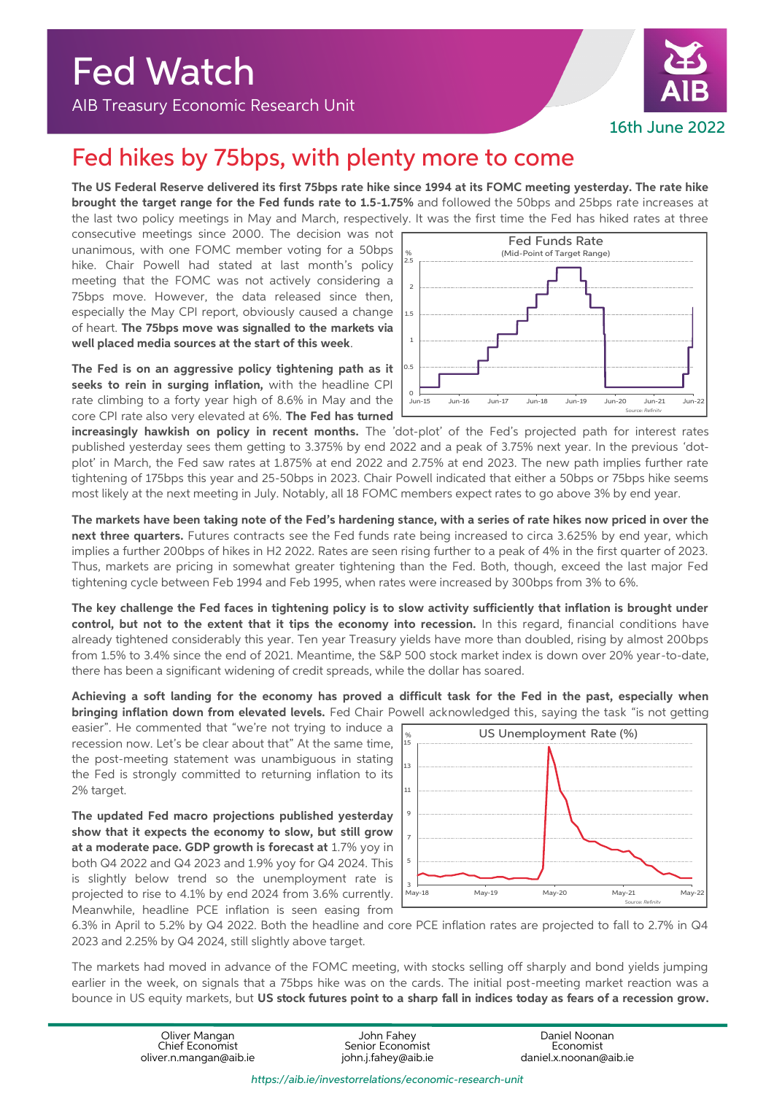Fed Watch

AIB Treasury Economic Research Unit



## Fed hikes by 75bps, with plenty more to come

**The US Federal Reserve delivered its first 75bps rate hike since 1994 at its FOMC meeting yesterday. The rate hike brought the target range for the Fed funds rate to 1.5-1.75%** and followed the 50bps and 25bps rate increases at the last two policy meetings in May and March, respectively. It was the first time the Fed has hiked rates at three

consecutive meetings since 2000. The decision was not unanimous, with one FOMC member voting for a 50bps hike. Chair Powell had stated at last month's policy meeting that the FOMC was not actively considering a 75bps move. However, the data released since then, especially the May CPI report, obviously caused a change of heart. **The 75bps move was signalled to the markets via well placed media sources at the start of this week**.

**The Fed is on an aggressive policy tightening path as it seeks to rein in surging inflation,** with the headline CPI rate climbing to a forty year high of 8.6% in May and the core CPI rate also very elevated at 6%. **The Fed has turned** 



**increasingly hawkish on policy in recent months.** The 'dot-plot' of the Fed's projected path for interest rates published yesterday sees them getting to 3.375% by end 2022 and a peak of 3.75% next year. In the previous 'dotplot' in March, the Fed saw rates at 1.875% at end 2022 and 2.75% at end 2023. The new path implies further rate tightening of 175bps this year and 25-50bps in 2023. Chair Powell indicated that either a 50bps or 75bps hike seems most likely at the next meeting in July. Notably, all 18 FOMC members expect rates to go above 3% by end year.

**The markets have been taking note of the Fed's hardening stance, with a series of rate hikes now priced in over the next three quarters.** Futures contracts see the Fed funds rate being increased to circa 3.625% by end year, which implies a further 200bps of hikes in H2 2022. Rates are seen rising further to a peak of 4% in the first quarter of 2023. Thus, markets are pricing in somewhat greater tightening than the Fed. Both, though, exceed the last major Fed tightening cycle between Feb 1994 and Feb 1995, when rates were increased by 300bps from 3% to 6%.

**The key challenge the Fed faces in tightening policy is to slow activity sufficiently that inflation is brought under control, but not to the extent that it tips the economy into recession.** In this regard, financial conditions have already tightened considerably this year. Ten year Treasury yields have more than doubled, rising by almost 200bps from 1.5% to 3.4% since the end of 2021. Meantime, the S&P 500 stock market index is down over 20% year-to-date, there has been a significant widening of credit spreads, while the dollar has soared.

**Achieving a soft landing for the economy has proved a difficult task for the Fed in the past, especially when bringing inflation down from elevated levels.** Fed Chair Powell acknowledged this, saying the task "is not getting

easier". He commented that "we're not trying to induce a recession now. Let's be clear about that" At the same time, the post-meeting statement was unambiguous in stating the Fed is strongly committed to returning inflation to its 2% target.

**The updated Fed macro projections published yesterday show that it expects the economy to slow, but still grow at a moderate pace. GDP growth is forecast at** 1.7% yoy in both Q4 2022 and Q4 2023 and 1.9% yoy for Q4 2024. This is slightly below trend so the unemployment rate is projected to rise to 4.1% by end 2024 from 3.6% currently. Meanwhile, headline PCE inflation is seen easing from



6.3% in April to 5.2% by Q4 2022. Both the headline and core PCE inflation rates are projected to fall to 2.7% in Q4 2023 and 2.25% by Q4 2024, still slightly above target.

The markets had moved in advance of the FOMC meeting, with stocks selling off sharply and bond yields jumping earlier in the week, on signals that a 75bps hike was on the cards. The initial post-meeting market reaction was a bounce in US equity markets, but **US stock futures point to a sharp fall in indices today as fears of a recession grow.** 

> Oliver Mangan John Fahey Daniel Noonan Chief Economist Senior Economist Economist